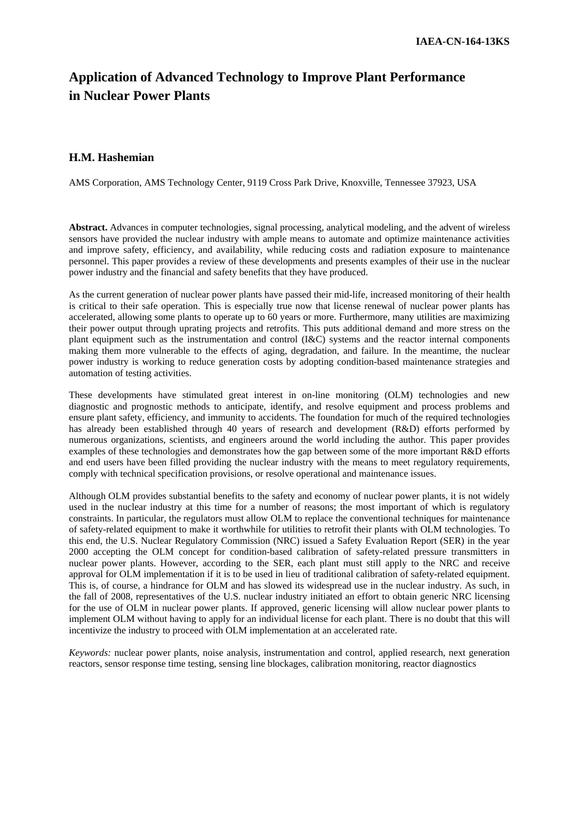# **Application of Advanced Technology to Improve Plant Performance in Nuclear Power Plants**

#### **H.M. Hashemian**

AMS Corporation, AMS Technology Center, 9119 Cross Park Drive, Knoxville, Tennessee 37923, USA

**Abstract.** Advances in computer technologies, signal processing, analytical modeling, and the advent of wireless sensors have provided the nuclear industry with ample means to automate and optimize maintenance activities and improve safety, efficiency, and availability, while reducing costs and radiation exposure to maintenance personnel. This paper provides a review of these developments and presents examples of their use in the nuclear power industry and the financial and safety benefits that they have produced.

As the current generation of nuclear power plants have passed their mid-life, increased monitoring of their health is critical to their safe operation. This is especially true now that license renewal of nuclear power plants has accelerated, allowing some plants to operate up to 60 years or more. Furthermore, many utilities are maximizing their power output through uprating projects and retrofits. This puts additional demand and more stress on the plant equipment such as the instrumentation and control (I&C) systems and the reactor internal components making them more vulnerable to the effects of aging, degradation, and failure. In the meantime, the nuclear power industry is working to reduce generation costs by adopting condition-based maintenance strategies and automation of testing activities.

These developments have stimulated great interest in on-line monitoring (OLM) technologies and new diagnostic and prognostic methods to anticipate, identify, and resolve equipment and process problems and ensure plant safety, efficiency, and immunity to accidents. The foundation for much of the required technologies has already been established through 40 years of research and development (R&D) efforts performed by numerous organizations, scientists, and engineers around the world including the author. This paper provides examples of these technologies and demonstrates how the gap between some of the more important R&D efforts and end users have been filled providing the nuclear industry with the means to meet regulatory requirements, comply with technical specification provisions, or resolve operational and maintenance issues.

Although OLM provides substantial benefits to the safety and economy of nuclear power plants, it is not widely used in the nuclear industry at this time for a number of reasons; the most important of which is regulatory constraints. In particular, the regulators must allow OLM to replace the conventional techniques for maintenance of safety-related equipment to make it worthwhile for utilities to retrofit their plants with OLM technologies. To this end, the U.S. Nuclear Regulatory Commission (NRC) issued a Safety Evaluation Report (SER) in the year 2000 accepting the OLM concept for condition-based calibration of safety-related pressure transmitters in nuclear power plants. However, according to the SER, each plant must still apply to the NRC and receive approval for OLM implementation if it is to be used in lieu of traditional calibration of safety-related equipment. This is, of course, a hindrance for OLM and has slowed its widespread use in the nuclear industry. As such, in the fall of 2008, representatives of the U.S. nuclear industry initiated an effort to obtain generic NRC licensing for the use of OLM in nuclear power plants. If approved, generic licensing will allow nuclear power plants to implement OLM without having to apply for an individual license for each plant. There is no doubt that this will incentivize the industry to proceed with OLM implementation at an accelerated rate.

*Keywords:* nuclear power plants, noise analysis, instrumentation and control, applied research, next generation reactors, sensor response time testing, sensing line blockages, calibration monitoring, reactor diagnostics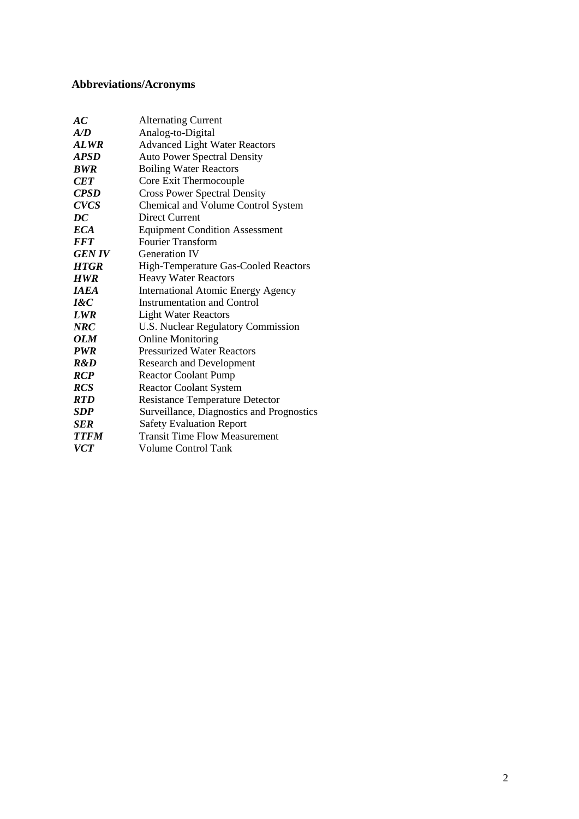# **Abbreviations/Acronyms**

| AC                 | <b>Alternating Current</b>                  |
|--------------------|---------------------------------------------|
| A/D                | Analog-to-Digital                           |
| <b>ALWR</b>        | <b>Advanced Light Water Reactors</b>        |
| <b>APSD</b>        | <b>Auto Power Spectral Density</b>          |
| <b>BWR</b>         | <b>Boiling Water Reactors</b>               |
| <b>CET</b>         | Core Exit Thermocouple                      |
| <b>CPSD</b>        | <b>Cross Power Spectral Density</b>         |
| <b>CVCS</b>        | Chemical and Volume Control System          |
| $\overline{DC}$    | Direct Current                              |
| <b>ECA</b>         | <b>Equipment Condition Assessment</b>       |
| <b>FFT</b>         | <b>Fourier Transform</b>                    |
| <b>GEN IV</b>      | <b>Generation IV</b>                        |
| <b>HTGR</b>        | <b>High-Temperature Gas-Cooled Reactors</b> |
| <b>HWR</b>         | <b>Heavy Water Reactors</b>                 |
| <i><b>IAEA</b></i> | <b>International Atomic Energy Agency</b>   |
| $I\&C$             | Instrumentation and Control                 |
| <b>LWR</b>         | <b>Light Water Reactors</b>                 |
| <b>NRC</b>         | U.S. Nuclear Regulatory Commission          |
| OLM                | <b>Online Monitoring</b>                    |
| <b>PWR</b>         | <b>Pressurized Water Reactors</b>           |
| R&D                | <b>Research and Development</b>             |
| <b>RCP</b>         | <b>Reactor Coolant Pump</b>                 |
| <b>RCS</b>         | <b>Reactor Coolant System</b>               |
| <b>RTD</b>         | <b>Resistance Temperature Detector</b>      |
| <b>SDP</b>         | Surveillance, Diagnostics and Prognostics   |
| <b>SER</b>         | <b>Safety Evaluation Report</b>             |
| <b>TTFM</b>        | <b>Transit Time Flow Measurement</b>        |
| <b>VCT</b>         | <b>Volume Control Tank</b>                  |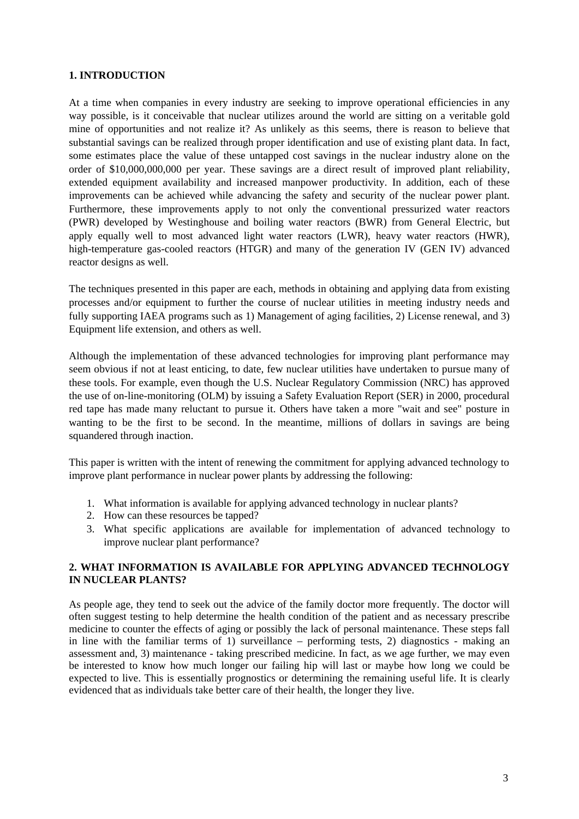#### **1. INTRODUCTION**

At a time when companies in every industry are seeking to improve operational efficiencies in any way possible, is it conceivable that nuclear utilizes around the world are sitting on a veritable gold mine of opportunities and not realize it? As unlikely as this seems, there is reason to believe that substantial savings can be realized through proper identification and use of existing plant data. In fact, some estimates place the value of these untapped cost savings in the nuclear industry alone on the order of \$10,000,000,000 per year. These savings are a direct result of improved plant reliability, extended equipment availability and increased manpower productivity. In addition, each of these improvements can be achieved while advancing the safety and security of the nuclear power plant. Furthermore, these improvements apply to not only the conventional pressurized water reactors (PWR) developed by Westinghouse and boiling water reactors (BWR) from General Electric, but apply equally well to most advanced light water reactors (LWR), heavy water reactors (HWR), high-temperature gas-cooled reactors (HTGR) and many of the generation IV (GEN IV) advanced reactor designs as well.

The techniques presented in this paper are each, methods in obtaining and applying data from existing processes and/or equipment to further the course of nuclear utilities in meeting industry needs and fully supporting IAEA programs such as 1) Management of aging facilities, 2) License renewal, and 3) Equipment life extension, and others as well.

Although the implementation of these advanced technologies for improving plant performance may seem obvious if not at least enticing, to date, few nuclear utilities have undertaken to pursue many of these tools. For example, even though the U.S. Nuclear Regulatory Commission (NRC) has approved the use of on-line-monitoring (OLM) by issuing a Safety Evaluation Report (SER) in 2000, procedural red tape has made many reluctant to pursue it. Others have taken a more "wait and see" posture in wanting to be the first to be second. In the meantime, millions of dollars in savings are being squandered through inaction.

This paper is written with the intent of renewing the commitment for applying advanced technology to improve plant performance in nuclear power plants by addressing the following:

- 1. What information is available for applying advanced technology in nuclear plants?
- 2. How can these resources be tapped?
- 3. What specific applications are available for implementation of advanced technology to improve nuclear plant performance?

## **2. WHAT INFORMATION IS AVAILABLE FOR APPLYING ADVANCED TECHNOLOGY IN NUCLEAR PLANTS?**

As people age, they tend to seek out the advice of the family doctor more frequently. The doctor will often suggest testing to help determine the health condition of the patient and as necessary prescribe medicine to counter the effects of aging or possibly the lack of personal maintenance. These steps fall in line with the familiar terms of 1) surveillance – performing tests, 2) diagnostics - making an assessment and, 3) maintenance - taking prescribed medicine. In fact, as we age further, we may even be interested to know how much longer our failing hip will last or maybe how long we could be expected to live. This is essentially prognostics or determining the remaining useful life. It is clearly evidenced that as individuals take better care of their health, the longer they live.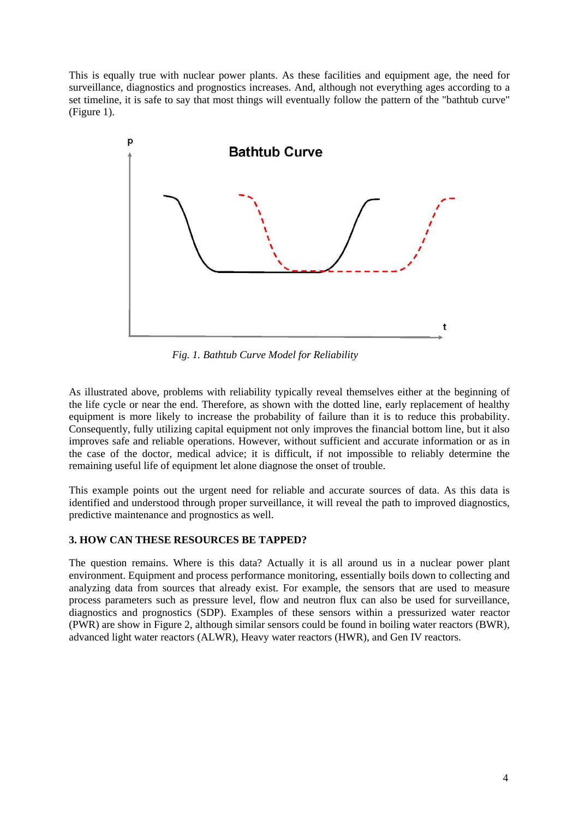This is equally true with nuclear power plants. As these facilities and equipment age, the need for surveillance, diagnostics and prognostics increases. And, although not everything ages according to a set timeline, it is safe to say that most things will eventually follow the pattern of the "bathtub curve" (Figure 1).



*Fig. 1. Bathtub Curve Model for Reliability* 

As illustrated above, problems with reliability typically reveal themselves either at the beginning of the life cycle or near the end. Therefore, as shown with the dotted line, early replacement of healthy equipment is more likely to increase the probability of failure than it is to reduce this probability. Consequently, fully utilizing capital equipment not only improves the financial bottom line, but it also improves safe and reliable operations. However, without sufficient and accurate information or as in the case of the doctor, medical advice; it is difficult, if not impossible to reliably determine the remaining useful life of equipment let alone diagnose the onset of trouble.

This example points out the urgent need for reliable and accurate sources of data. As this data is identified and understood through proper surveillance, it will reveal the path to improved diagnostics, predictive maintenance and prognostics as well.

# **3. HOW CAN THESE RESOURCES BE TAPPED?**

The question remains. Where is this data? Actually it is all around us in a nuclear power plant environment. Equipment and process performance monitoring, essentially boils down to collecting and analyzing data from sources that already exist. For example, the sensors that are used to measure process parameters such as pressure level, flow and neutron flux can also be used for surveillance, diagnostics and prognostics (SDP). Examples of these sensors within a pressurized water reactor (PWR) are show in Figure 2, although similar sensors could be found in boiling water reactors (BWR), advanced light water reactors (ALWR), Heavy water reactors (HWR), and Gen IV reactors.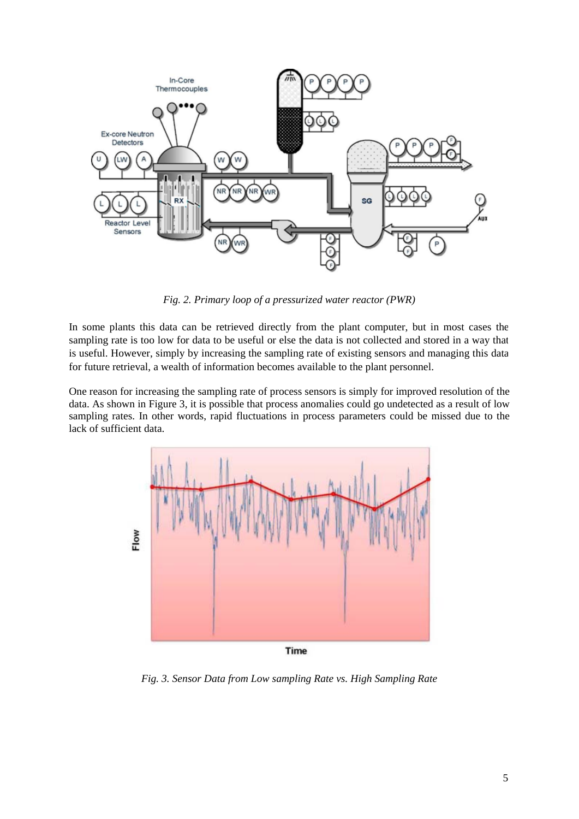

*Fig. 2. Primary loop of a pressurized water reactor (PWR)* 

In some plants this data can be retrieved directly from the plant computer, but in most cases the sampling rate is too low for data to be useful or else the data is not collected and stored in a way that is useful. However, simply by increasing the sampling rate of existing sensors and managing this data for future retrieval, a wealth of information becomes available to the plant personnel.

One reason for increasing the sampling rate of process sensors is simply for improved resolution of the data. As shown in Figure 3, it is possible that process anomalies could go undetected as a result of low sampling rates. In other words, rapid fluctuations in process parameters could be missed due to the lack of sufficient data.



Time

*Fig. 3. Sensor Data from Low sampling Rate vs. High Sampling Rate*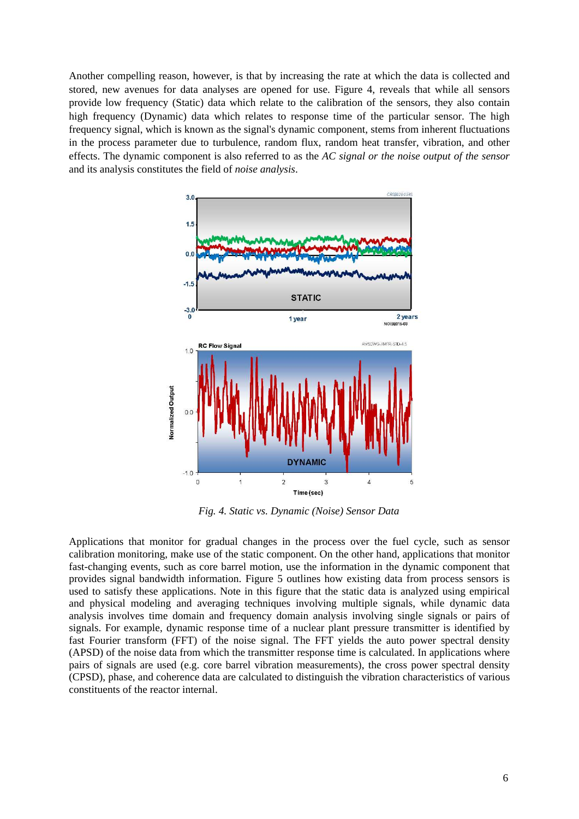Another compelling reason, however, is that by increasing the rate at which the data is collected and stored, new avenues for data analyses are opened for use. Figure 4, reveals that while all sensors provide low frequency (Static) data which relate to the calibration of the sensors, they also contain high frequency (Dynamic) data which relates to response time of the particular sensor. The high frequency signal, which is known as the signal's dynamic component, stems from inherent fluctuations in the process parameter due to turbulence, random flux, random heat transfer, vibration, and other effects. The dynamic component is also referred to as the *AC signal or the noise output of the sensor* and its analysis constitutes the field of *noise analysis*.



 *Fig. 4. Static vs. Dynamic (Noise) Sensor Data* 

Applications that monitor for gradual changes in the process over the fuel cycle, such as sensor calibration monitoring, make use of the static component. On the other hand, applications that monitor fast-changing events, such as core barrel motion, use the information in the dynamic component that provides signal bandwidth information. Figure 5 outlines how existing data from process sensors is used to satisfy these applications. Note in this figure that the static data is analyzed using empirical and physical modeling and averaging techniques involving multiple signals, while dynamic data analysis involves time domain and frequency domain analysis involving single signals or pairs of signals. For example, dynamic response time of a nuclear plant pressure transmitter is identified by fast Fourier transform (FFT) of the noise signal. The FFT yields the auto power spectral density (APSD) of the noise data from which the transmitter response time is calculated. In applications where pairs of signals are used (e.g. core barrel vibration measurements), the cross power spectral density (CPSD), phase, and coherence data are calculated to distinguish the vibration characteristics of various constituents of the reactor internal.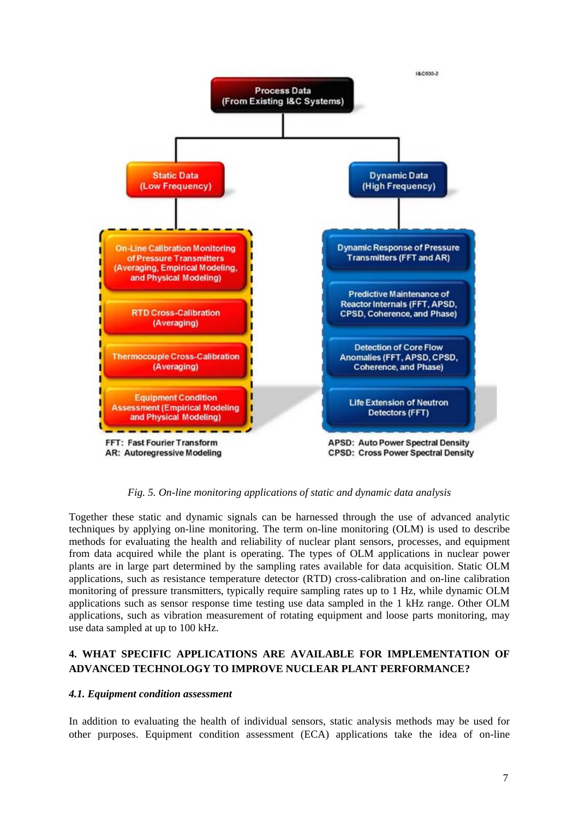

*Fig. 5. On-line monitoring applications of static and dynamic data analysis*

Together these static and dynamic signals can be harnessed through the use of advanced analytic techniques by applying on-line monitoring. The term on-line monitoring (OLM) is used to describe methods for evaluating the health and reliability of nuclear plant sensors, processes, and equipment from data acquired while the plant is operating. The types of OLM applications in nuclear power plants are in large part determined by the sampling rates available for data acquisition. Static OLM applications, such as resistance temperature detector (RTD) cross-calibration and on-line calibration monitoring of pressure transmitters, typically require sampling rates up to 1 Hz, while dynamic OLM applications such as sensor response time testing use data sampled in the 1 kHz range. Other OLM applications, such as vibration measurement of rotating equipment and loose parts monitoring, may use data sampled at up to 100 kHz.

# **4. WHAT SPECIFIC APPLICATIONS ARE AVAILABLE FOR IMPLEMENTATION OF ADVANCED TECHNOLOGY TO IMPROVE NUCLEAR PLANT PERFORMANCE?**

#### *4.1. Equipment condition assessment*

In addition to evaluating the health of individual sensors, static analysis methods may be used for other purposes. Equipment condition assessment (ECA) applications take the idea of on-line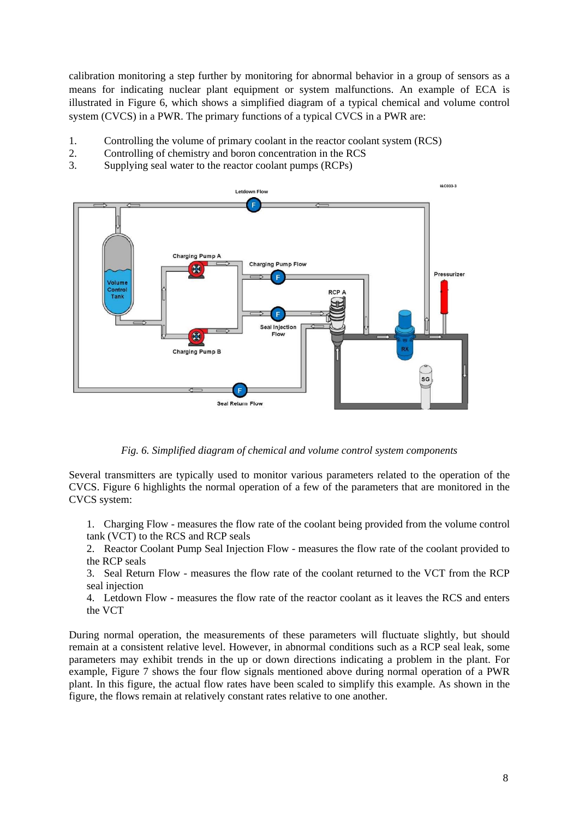calibration monitoring a step further by monitoring for abnormal behavior in a group of sensors as a means for indicating nuclear plant equipment or system malfunctions. An example of ECA is illustrated in Figure 6, which shows a simplified diagram of a typical chemical and volume control system (CVCS) in a PWR. The primary functions of a typical CVCS in a PWR are:

- 1. Controlling the volume of primary coolant in the reactor coolant system (RCS)
- 2. Controlling of chemistry and boron concentration in the RCS
- 3. Supplying seal water to the reactor coolant pumps (RCPs)



*Fig. 6. Simplified diagram of chemical and volume control system components*

Several transmitters are typically used to monitor various parameters related to the operation of the CVCS. Figure 6 highlights the normal operation of a few of the parameters that are monitored in the CVCS system:

1. Charging Flow - measures the flow rate of the coolant being provided from the volume control tank (VCT) to the RCS and RCP seals

2. Reactor Coolant Pump Seal Injection Flow - measures the flow rate of the coolant provided to the RCP seals

3. Seal Return Flow - measures the flow rate of the coolant returned to the VCT from the RCP seal injection

4. Letdown Flow - measures the flow rate of the reactor coolant as it leaves the RCS and enters the VCT

During normal operation, the measurements of these parameters will fluctuate slightly, but should remain at a consistent relative level. However, in abnormal conditions such as a RCP seal leak, some parameters may exhibit trends in the up or down directions indicating a problem in the plant. For example, Figure 7 shows the four flow signals mentioned above during normal operation of a PWR plant. In this figure, the actual flow rates have been scaled to simplify this example. As shown in the figure, the flows remain at relatively constant rates relative to one another.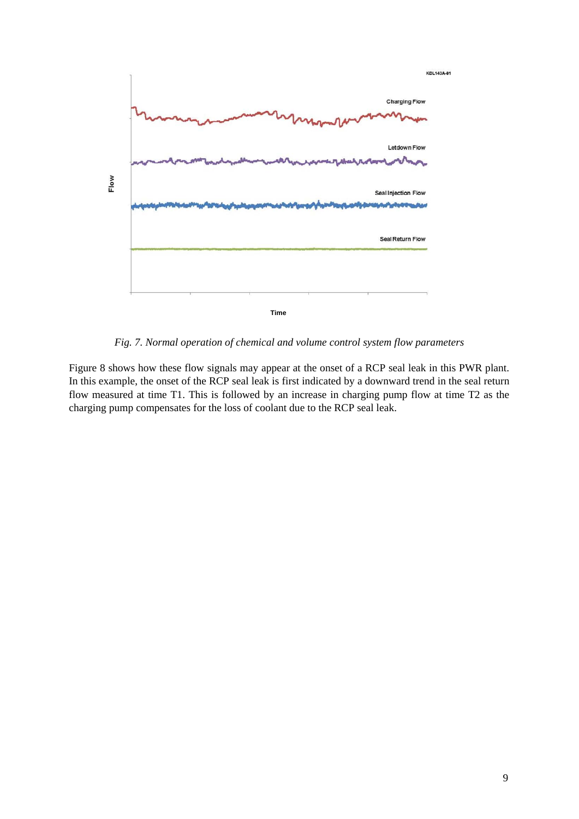

*Fig. 7. Normal operation of chemical and volume control system flow parameters* 

Figure 8 shows how these flow signals may appear at the onset of a RCP seal leak in this PWR plant. In this example, the onset of the RCP seal leak is first indicated by a downward trend in the seal return flow measured at time T1. This is followed by an increase in charging pump flow at time T2 as the charging pump compensates for the loss of coolant due to the RCP seal leak.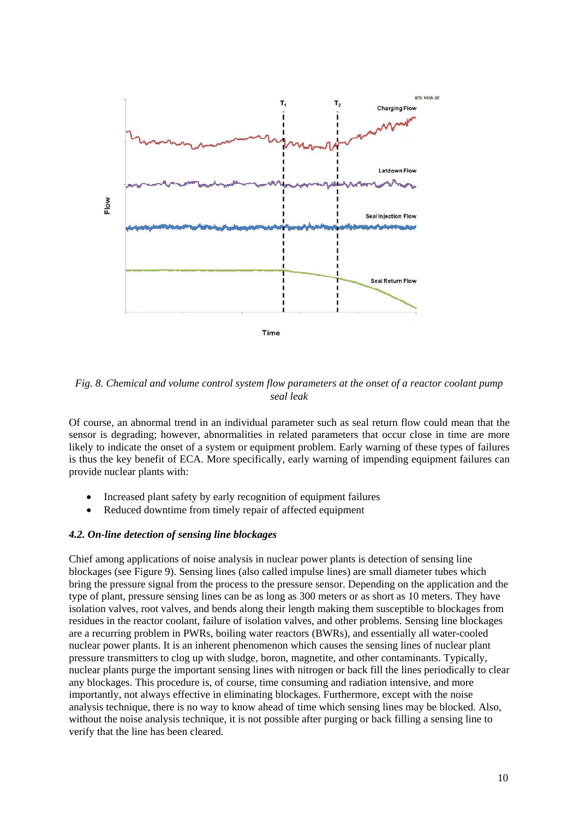

*Fig. 8. Chemical and volume control system flow parameters at the onset of a reactor coolant pump seal leak* 

Of course, an abnormal trend in an individual parameter such as seal return flow could mean that the sensor is degrading; however, abnormalities in related parameters that occur close in time are more likely to indicate the onset of a system or equipment problem. Early warning of these types of failures is thus the key benefit of ECA. More specifically, early warning of impending equipment failures can provide nuclear plants with:

- Increased plant safety by early recognition of equipment failures
- Reduced downtime from timely repair of affected equipment

#### *4.2. On-line detection of sensing line blockages*

Chief among applications of noise analysis in nuclear power plants is detection of sensing line blockages (see Figure 9). Sensing lines (also called impulse lines) are small diameter tubes which bring the pressure signal from the process to the pressure sensor. Depending on the application and the type of plant, pressure sensing lines can be as long as 300 meters or as short as 10 meters. They have isolation valves, root valves, and bends along their length making them susceptible to blockages from residues in the reactor coolant, failure of isolation valves, and other problems. Sensing line blockages are a recurring problem in PWRs, boiling water reactors (BWRs), and essentially all water-cooled nuclear power plants. It is an inherent phenomenon which causes the sensing lines of nuclear plant pressure transmitters to clog up with sludge, boron, magnetite, and other contaminants. Typically, nuclear plants purge the important sensing lines with nitrogen or back fill the lines periodically to clear any blockages. This procedure is, of course, time consuming and radiation intensive, and more importantly, not always effective in eliminating blockages. Furthermore, except with the noise analysis technique, there is no way to know ahead of time which sensing lines may be blocked. Also, without the noise analysis technique, it is not possible after purging or back filling a sensing line to verify that the line has been cleared.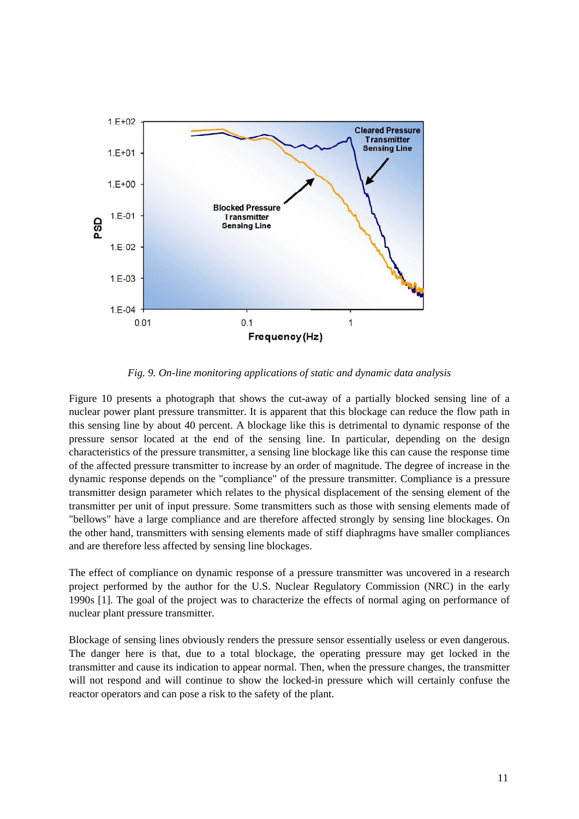

*Fig. 9. On-line monitoring applications of static and dynamic data analysis*

Figure 10 presents a photograph that shows the cut-away of a partially blocked sensing line of a nuclear power plant pressure transmitter. It is apparent that this blockage can reduce the flow path in this sensing line by about 40 percent. A blockage like this is detrimental to dynamic response of the pressure sensor located at the end of the sensing line. In particular, depending on the design characteristics of the pressure transmitter, a sensing line blockage like this can cause the response time of the affected pressure transmitter to increase by an order of magnitude. The degree of increase in the dynamic response depends on the "compliance" of the pressure transmitter. Compliance is a pressure transmitter design parameter which relates to the physical displacement of the sensing element of the transmitter per unit of input pressure. Some transmitters such as those with sensing elements made of "bellows" have a large compliance and are therefore affected strongly by sensing line blockages. On the other hand, transmitters with sensing elements made of stiff diaphragms have smaller compliances and are therefore less affected by sensing line blockages.

The effect of compliance on dynamic response of a pressure transmitter was uncovered in a research project performed by the author for the U.S. Nuclear Regulatory Commission (NRC) in the early 1990s [1]. The goal of the project was to characterize the effects of normal aging on performance of nuclear plant pressure transmitter.

Blockage of sensing lines obviously renders the pressure sensor essentially useless or even dangerous. The danger here is that, due to a total blockage, the operating pressure may get locked in the transmitter and cause its indication to appear normal. Then, when the pressure changes, the transmitter will not respond and will continue to show the locked-in pressure which will certainly confuse the reactor operators and can pose a risk to the safety of the plant.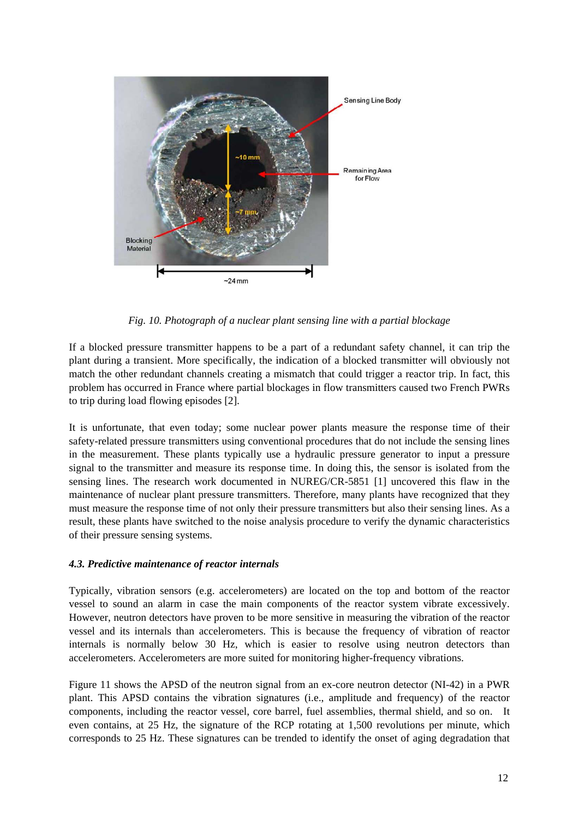

*Fig. 10. Photograph of a nuclear plant sensing line with a partial blockage* 

If a blocked pressure transmitter happens to be a part of a redundant safety channel, it can trip the plant during a transient. More specifically, the indication of a blocked transmitter will obviously not match the other redundant channels creating a mismatch that could trigger a reactor trip. In fact, this problem has occurred in France where partial blockages in flow transmitters caused two French PWRs to trip during load flowing episodes [2].

It is unfortunate, that even today; some nuclear power plants measure the response time of their safety-related pressure transmitters using conventional procedures that do not include the sensing lines in the measurement. These plants typically use a hydraulic pressure generator to input a pressure signal to the transmitter and measure its response time. In doing this, the sensor is isolated from the sensing lines. The research work documented in NUREG/CR-5851 [1] uncovered this flaw in the maintenance of nuclear plant pressure transmitters. Therefore, many plants have recognized that they must measure the response time of not only their pressure transmitters but also their sensing lines. As a result, these plants have switched to the noise analysis procedure to verify the dynamic characteristics of their pressure sensing systems.

## *4.3. Predictive maintenance of reactor internals*

Typically, vibration sensors (e.g. accelerometers) are located on the top and bottom of the reactor vessel to sound an alarm in case the main components of the reactor system vibrate excessively. However, neutron detectors have proven to be more sensitive in measuring the vibration of the reactor vessel and its internals than accelerometers. This is because the frequency of vibration of reactor internals is normally below 30 Hz, which is easier to resolve using neutron detectors than accelerometers. Accelerometers are more suited for monitoring higher-frequency vibrations.

Figure 11 shows the APSD of the neutron signal from an ex-core neutron detector (NI-42) in a PWR plant. This APSD contains the vibration signatures (i.e., amplitude and frequency) of the reactor components, including the reactor vessel, core barrel, fuel assemblies, thermal shield, and so on. It even contains, at 25 Hz, the signature of the RCP rotating at 1,500 revolutions per minute, which corresponds to 25 Hz. These signatures can be trended to identify the onset of aging degradation that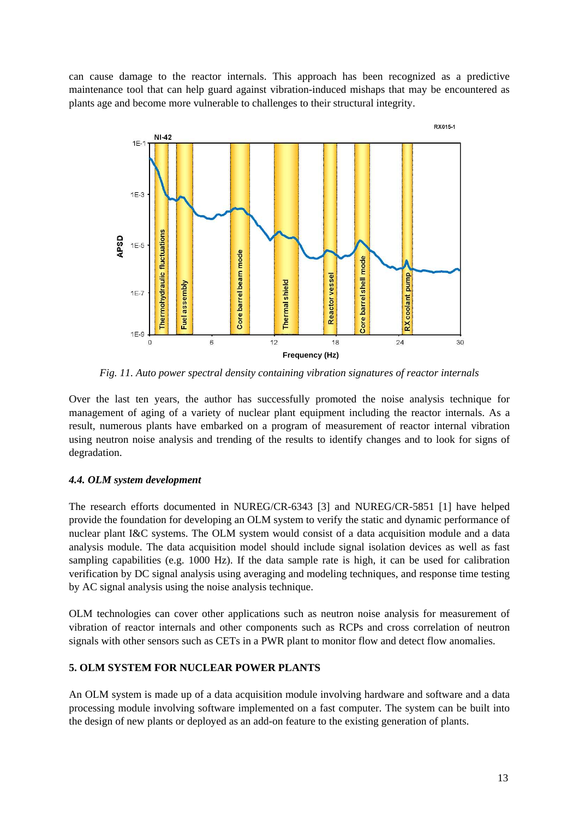can cause damage to the reactor internals. This approach has been recognized as a predictive maintenance tool that can help guard against vibration-induced mishaps that may be encountered as plants age and become more vulnerable to challenges to their structural integrity.



*Fig. 11. Auto power spectral density containing vibration signatures of reactor internals* 

Over the last ten years, the author has successfully promoted the noise analysis technique for management of aging of a variety of nuclear plant equipment including the reactor internals. As a result, numerous plants have embarked on a program of measurement of reactor internal vibration using neutron noise analysis and trending of the results to identify changes and to look for signs of degradation.

# *4.4. OLM system development*

The research efforts documented in NUREG/CR-6343 [3] and NUREG/CR-5851 [1] have helped provide the foundation for developing an OLM system to verify the static and dynamic performance of nuclear plant I&C systems. The OLM system would consist of a data acquisition module and a data analysis module. The data acquisition model should include signal isolation devices as well as fast sampling capabilities (e.g. 1000 Hz). If the data sample rate is high, it can be used for calibration verification by DC signal analysis using averaging and modeling techniques, and response time testing by AC signal analysis using the noise analysis technique.

OLM technologies can cover other applications such as neutron noise analysis for measurement of vibration of reactor internals and other components such as RCPs and cross correlation of neutron signals with other sensors such as CETs in a PWR plant to monitor flow and detect flow anomalies.

# **5. OLM SYSTEM FOR NUCLEAR POWER PLANTS**

An OLM system is made up of a data acquisition module involving hardware and software and a data processing module involving software implemented on a fast computer. The system can be built into the design of new plants or deployed as an add-on feature to the existing generation of plants.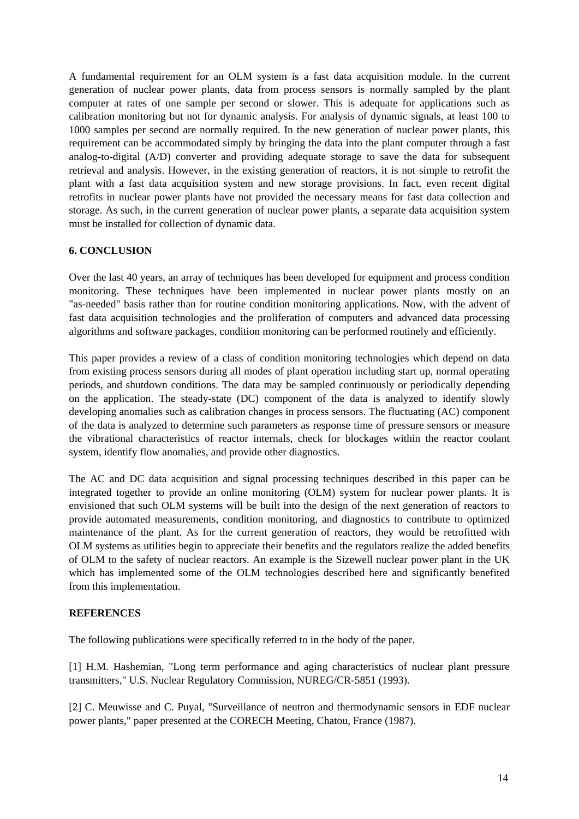A fundamental requirement for an OLM system is a fast data acquisition module. In the current generation of nuclear power plants, data from process sensors is normally sampled by the plant computer at rates of one sample per second or slower. This is adequate for applications such as calibration monitoring but not for dynamic analysis. For analysis of dynamic signals, at least 100 to 1000 samples per second are normally required. In the new generation of nuclear power plants, this requirement can be accommodated simply by bringing the data into the plant computer through a fast analog-to-digital (A/D) converter and providing adequate storage to save the data for subsequent retrieval and analysis. However, in the existing generation of reactors, it is not simple to retrofit the plant with a fast data acquisition system and new storage provisions. In fact, even recent digital retrofits in nuclear power plants have not provided the necessary means for fast data collection and storage. As such, in the current generation of nuclear power plants, a separate data acquisition system must be installed for collection of dynamic data.

## **6. CONCLUSION**

Over the last 40 years, an array of techniques has been developed for equipment and process condition monitoring. These techniques have been implemented in nuclear power plants mostly on an "as-needed" basis rather than for routine condition monitoring applications. Now, with the advent of fast data acquisition technologies and the proliferation of computers and advanced data processing algorithms and software packages, condition monitoring can be performed routinely and efficiently.

This paper provides a review of a class of condition monitoring technologies which depend on data from existing process sensors during all modes of plant operation including start up, normal operating periods, and shutdown conditions. The data may be sampled continuously or periodically depending on the application. The steady-state (DC) component of the data is analyzed to identify slowly developing anomalies such as calibration changes in process sensors. The fluctuating (AC) component of the data is analyzed to determine such parameters as response time of pressure sensors or measure the vibrational characteristics of reactor internals, check for blockages within the reactor coolant system, identify flow anomalies, and provide other diagnostics.

The AC and DC data acquisition and signal processing techniques described in this paper can be integrated together to provide an online monitoring (OLM) system for nuclear power plants. It is envisioned that such OLM systems will be built into the design of the next generation of reactors to provide automated measurements, condition monitoring, and diagnostics to contribute to optimized maintenance of the plant. As for the current generation of reactors, they would be retrofitted with OLM systems as utilities begin to appreciate their benefits and the regulators realize the added benefits of OLM to the safety of nuclear reactors. An example is the Sizewell nuclear power plant in the UK which has implemented some of the OLM technologies described here and significantly benefited from this implementation.

## **REFERENCES**

The following publications were specifically referred to in the body of the paper.

[1] H.M. Hashemian, "Long term performance and aging characteristics of nuclear plant pressure transmitters," U.S. Nuclear Regulatory Commission, NUREG/CR-5851 (1993).

[2] C. Meuwisse and C. Puyal, "Surveillance of neutron and thermodynamic sensors in EDF nuclear power plants," paper presented at the CORECH Meeting, Chatou, France (1987).